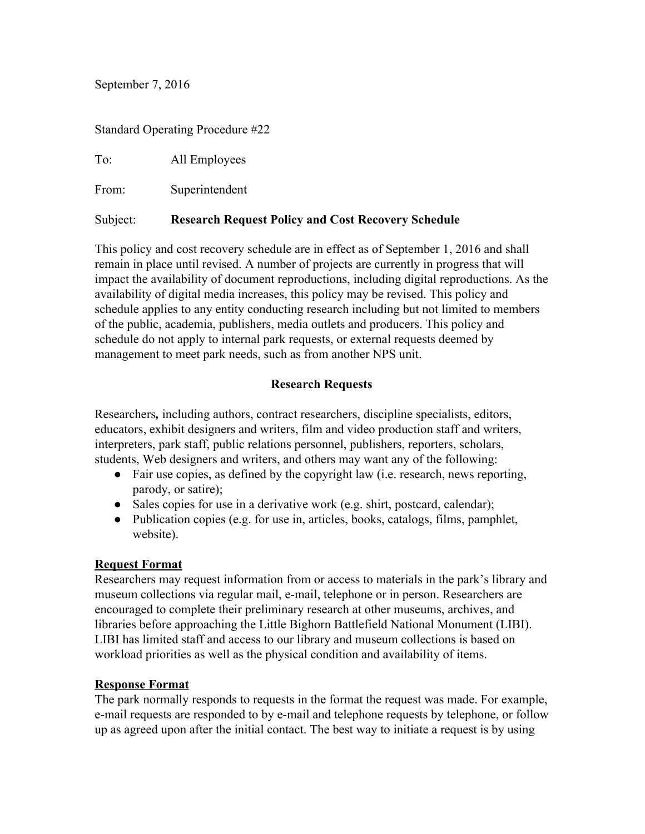September 7, 2016

### Standard Operating Procedure #22

To: All Employees

From: Superintendent

## Subject: **Research Request Policy and Cost Recovery Schedule**

 management to meet park needs, such as from another NPS unit. This policy and cost recovery schedule are in effect as of September 1, 2016 and shall remain in place until revised. A number of projects are currently in progress that will impact the availability of document reproductions, including digital reproductions. As the availability of digital media increases, this policy may be revised. This policy and schedule applies to any entity conducting research including but not limited to members of the public, academia, publishers, media outlets and producers. This policy and schedule do not apply to internal park requests, or external requests deemed by

## **Research Requests**

Researchers*,* including authors, contract researchers, discipline specialists, editors, educators, exhibit designers and writers, film and video production staff and writers, interpreters, park staff, public relations personnel, publishers, reporters, scholars, students, Web designers and writers, and others may want any of the following:

- ●Fair use copies, as defined by the copyright law (i.e. research, news reporting, parody, or satire);
- Sales copies for use in a derivative work (e.g. shirt, postcard, calendar);
- website). ●Publication copies (e.g. for use in, articles, books, catalogs, films, pamphlet,

## **Request Format**

Researchers may request information from or access to materials in the park's library and museum collections via regular mail, e-mail, telephone or in person. Researchers are encouraged to complete their preliminary research at other museums, archives, and libraries before approaching the Little Bighorn Battlefield National Monument (LIBI). LIBI has limited staff and access to our library and museum collections is based on workload priorities as well as the physical condition and availability of items.

## **Response Format**

The park normally responds to requests in the format the request was made. For example, e-mail requests are responded to by e-mail and telephone requests by telephone, or follow up as agreed upon after the initial contact. The best way to initiate a request is by using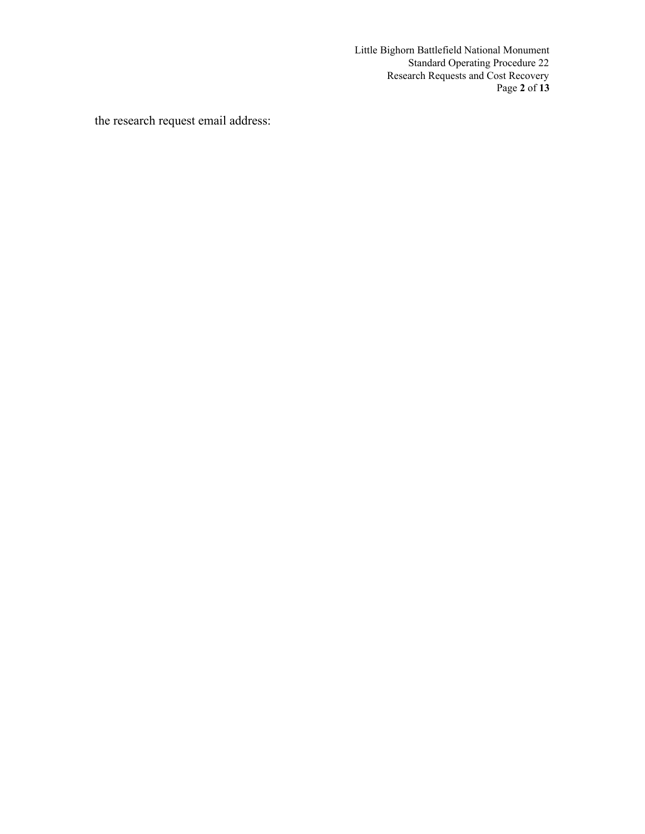Ì Little Bighorn Battlefield National Monument Standard Operating Procedure 22 Research Requests and Cost Recovery Page **2** of **13** 

the research request email address: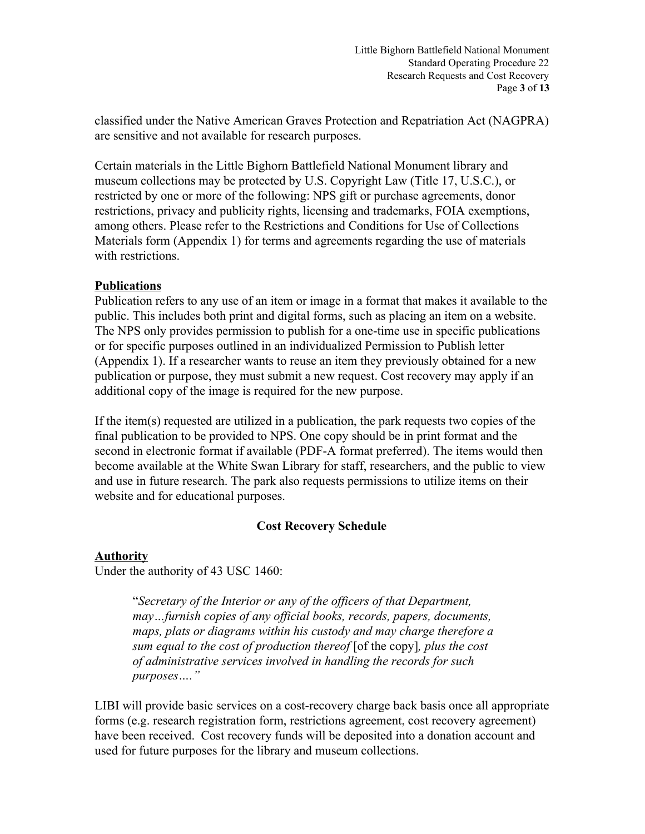Page **3** of **13**  Little Bighorn Battlefield National Monument Standard Operating Procedure 22 Research Requests and Cost Recovery

classified under the Native American Graves Protection and Repatriation Act (NAGPRA) are sensitive and not available for research purposes.

Certain materials in the Little Bighorn Battlefield National Monument library and museum collections may be protected by U.S. Copyright Law (Title 17, U.S.C.), or restricted by one or more of the following: NPS gift or purchase agreements, donor restrictions, privacy and publicity rights, licensing and trademarks, FOIA exemptions, among others. Please refer to the Restrictions and Conditions for Use of Collections Materials form (Appendix 1) for terms and agreements regarding the use of materials with restrictions.

### **Publications**

additional copy of the image is required for the new purpose. Publication refers to any use of an item or image in a format that makes it available to the public. This includes both print and digital forms, such as placing an item on a website. The NPS only provides permission to publish for a one-time use in specific publications or for specific purposes outlined in an individualized Permission to Publish letter (Appendix 1). If a researcher wants to reuse an item they previously obtained for a new publication or purpose, they must submit a new request. Cost recovery may apply if an

If the item(s) requested are utilized in a publication, the park requests two copies of the final publication to be provided to NPS. One copy should be in print format and the second in electronic format if available (PDF-A format preferred). The items would then become available at the White Swan Library for staff, researchers, and the public to view and use in future research. The park also requests permissions to utilize items on their website and for educational purposes.

## **Cost Recovery Schedule**

## **Authority**

Under the authority of 43 USC 1460:

"Secretary of the Interior or any of the officers of that Department, *may…furnish copies of any official books, records, papers, documents, maps, plats or diagrams within his custody and may charge therefore a sum equal to the cost of production thereof* [of the copy]*, plus the cost of administrative services involved in handling the records for such purposes…."* 

 used for future purposes for the library and museum collections. LIBI will provide basic services on a cost-recovery charge back basis once all appropriate forms (e.g. research registration form, restrictions agreement, cost recovery agreement) have been received. Cost recovery funds will be deposited into a donation account and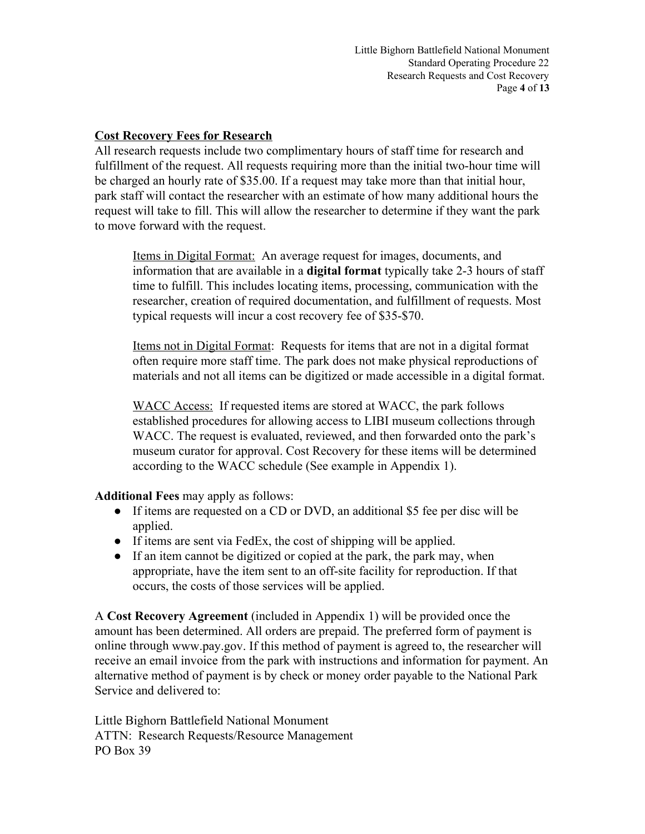Page **4** of **13**  Little Bighorn Battlefield National Monument Standard Operating Procedure 22 Research Requests and Cost Recovery

### **Cost Recovery Fees for Research**

to move forward with the request. All research requests include two complimentary hours of staff time for research and fulfillment of the request. All requests requiring more than the initial two-hour time will be charged an hourly rate of \$35.00. If a request may take more than that initial hour, park staff will contact the researcher with an estimate of how many additional hours the request will take to fill. This will allow the researcher to determine if they want the park

typical requests will incur a cost recovery fee of \$35-\$70. Items in Digital Format: An average request for images, documents, and information that are available in a **digital format** typically take 2-3 hours of staff time to fulfill. This includes locating items, processing, communication with the researcher, creation of required documentation, and fulfillment of requests. Most

Items not in Digital Format: Requests for items that are not in a digital format often require more staff time. The park does not make physical reproductions of materials and not all items can be digitized or made accessible in a digital format.

WACC Access: If requested items are stored at WACC, the park follows established procedures for allowing access to LIBI museum collections through WACC. The request is evaluated, reviewed, and then forwarded onto the park's museum curator for approval. Cost Recovery for these items will be determined according to the WACC schedule (See example in Appendix 1).

**Additional Fees** may apply as follows:

- applied. • If items are requested on a CD or DVD, an additional \$5 fee per disc will be
- ● If items are sent via FedEx, the cost of shipping will be applied.
- occurs, the costs of those services will be applied. • If an item cannot be digitized or copied at the park, the park may, when appropriate, have the item sent to an off-site facility for reproduction. If that

A **Cost Recovery Agreement** (included in Appendix 1) will be provided once the amount has been determined. All orders are prepaid. The preferred form of payment is online through www.pay.gov. If this method of payment is agreed to, the researcher will receive an email invoice from the park with instructions and information for payment. An alternative method of payment is by check or money order payable to the National Park Service and delivered to:

Little Bighorn Battlefield National Monument ATTN: Research Requests/Resource Management PO Box 39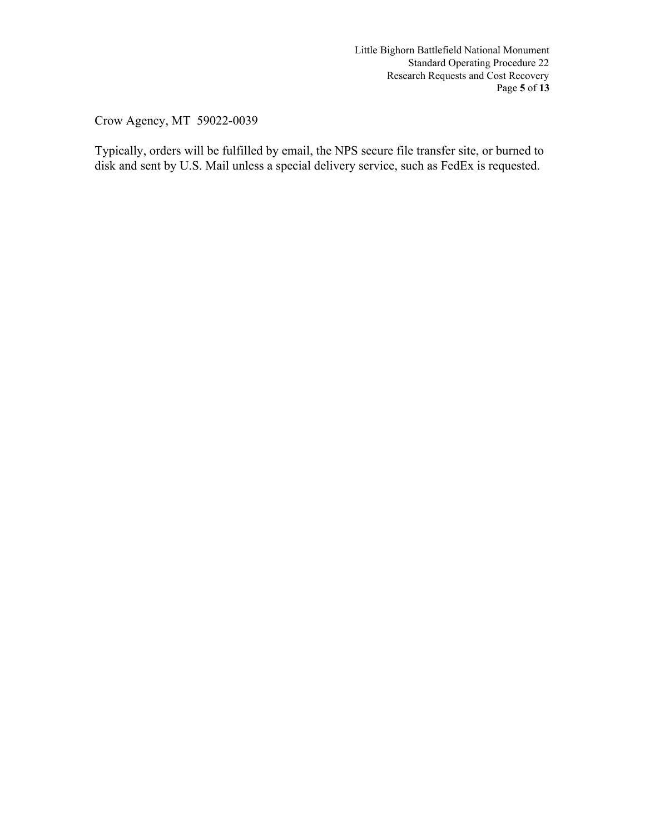Page **5** of **13**  Little Bighorn Battlefield National Monument Standard Operating Procedure 22 Research Requests and Cost Recovery

Crow Agency, MT 59022-0039

 disk and sent by U.S. Mail unless a special delivery service, such as FedEx is requested. Typically, orders will be fulfilled by email, the NPS secure file transfer site, or burned to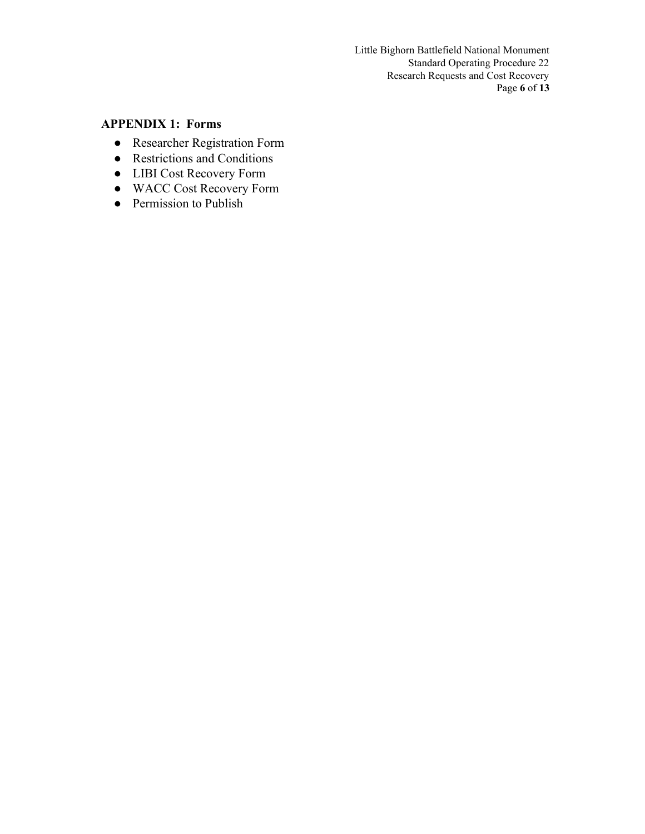Page **6** of **13**  Little Bighorn Battlefield National Monument Standard Operating Procedure 22 Research Requests and Cost Recovery

# **APPENDIX 1: Forms**

- Researcher Registration Form
- Restrictions and Conditions
- LIBI Cost Recovery Form
- WACC Cost Recovery Form
- Permission to Publish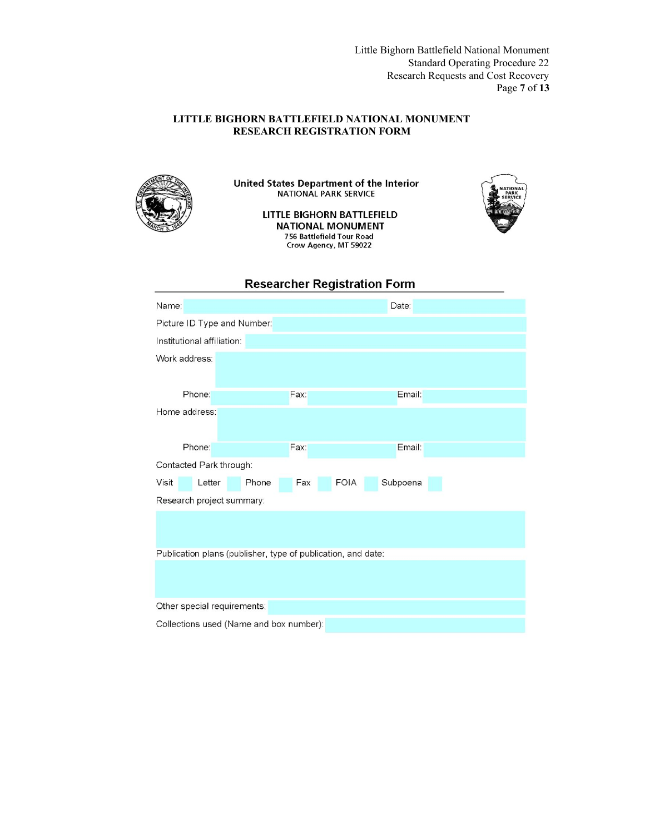Page **7** of **13**  Little Bighorn Battlefield National Monument Standard Operating Procedure 22 Research Requests and Cost Recovery

### **LITTLE BIGHORN BATTLEFIELD NATIONAL MONUMENT RESEARCH REGISTRATION FORM**



United States Department of the Interior NATIONAL PARK SERVICE

> LITTLE BIGHORN BATTLEFIELD **NATIONAL MONUMENT** 756 Battlefield Tour Road Crow Agency, MT 59022



### **Researcher Registration Form**

| Name:                                                        |                         |  |       |      | Date: |          |  |
|--------------------------------------------------------------|-------------------------|--|-------|------|-------|----------|--|
| Picture ID Type and Number:                                  |                         |  |       |      |       |          |  |
| Institutional affiliation:                                   |                         |  |       |      |       |          |  |
|                                                              | Work address:           |  |       |      |       |          |  |
|                                                              | Phone:                  |  |       | Fax: |       | Email:   |  |
| Home address:                                                |                         |  |       |      |       |          |  |
|                                                              | Phone:                  |  |       | Fax: |       | Email:   |  |
|                                                              | Contacted Park through: |  |       |      |       |          |  |
| Visit                                                        | Letter                  |  | Phone | Fax  | FOIA  | Subpoena |  |
| Research project summary:                                    |                         |  |       |      |       |          |  |
|                                                              |                         |  |       |      |       |          |  |
| Publication plans (publisher, type of publication, and date: |                         |  |       |      |       |          |  |
|                                                              |                         |  |       |      |       |          |  |
| Other special requirements:                                  |                         |  |       |      |       |          |  |
| Collections used (Name and box number):                      |                         |  |       |      |       |          |  |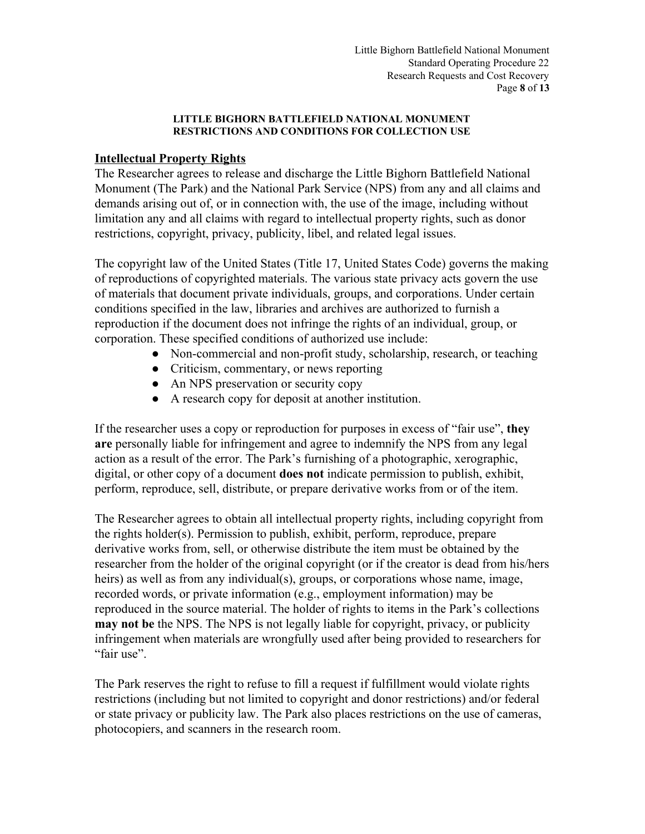Page **8** of **13**  Little Bighorn Battlefield National Monument Standard Operating Procedure 22 Research Requests and Cost Recovery

### **LITTLE BIGHORN BATTLEFIELD NATIONAL MONUMENT RESTRICTIONS AND CONDITIONS FOR COLLECTION USE**

### **Intellectual Property Rights**

The Researcher agrees to release and discharge the Little Bighorn Battlefield National Monument (The Park) and the National Park Service (NPS) from any and all claims and demands arising out of, or in connection with, the use of the image, including without limitation any and all claims with regard to intellectual property rights, such as donor restrictions, copyright, privacy, publicity, libel, and related legal issues.

The copyright law of the United States (Title 17, United States Code) governs the making of reproductions of copyrighted materials. The various state privacy acts govern the use of materials that document private individuals, groups, and corporations. Under certain conditions specified in the law, libraries and archives are authorized to furnish a reproduction if the document does not infringe the rights of an individual, group, or corporation. These specified conditions of authorized use include:

- Non-commercial and non-profit study, scholarship, research, or teaching
- Criticism, commentary, or news reporting
- An NPS preservation or security copy
- A research copy for deposit at another institution.

If the researcher uses a copy or reproduction for purposes in excess of "fair use", **they are** personally liable for infringement and agree to indemnify the NPS from any legal action as a result of the error. The Park's furnishing of a photographic, xerographic, digital, or other copy of a document **does not** indicate permission to publish, exhibit, perform, reproduce, sell, distribute, or prepare derivative works from or of the item.

 "fair use". The Researcher agrees to obtain all intellectual property rights, including copyright from the rights holder(s). Permission to publish, exhibit, perform, reproduce, prepare derivative works from, sell, or otherwise distribute the item must be obtained by the researcher from the holder of the original copyright (or if the creator is dead from his/hers heirs) as well as from any individual(s), groups, or corporations whose name, image, recorded words, or private information (e.g., employment information) may be reproduced in the source material. The holder of rights to items in the Park's collections **may not be** the NPS. The NPS is not legally liable for copyright, privacy, or publicity infringement when materials are wrongfully used after being provided to researchers for

The Park reserves the right to refuse to fill a request if fulfillment would violate rights restrictions (including but not limited to copyright and donor restrictions) and/or federal or state privacy or publicity law. The Park also places restrictions on the use of cameras, photocopiers, and scanners in the research room.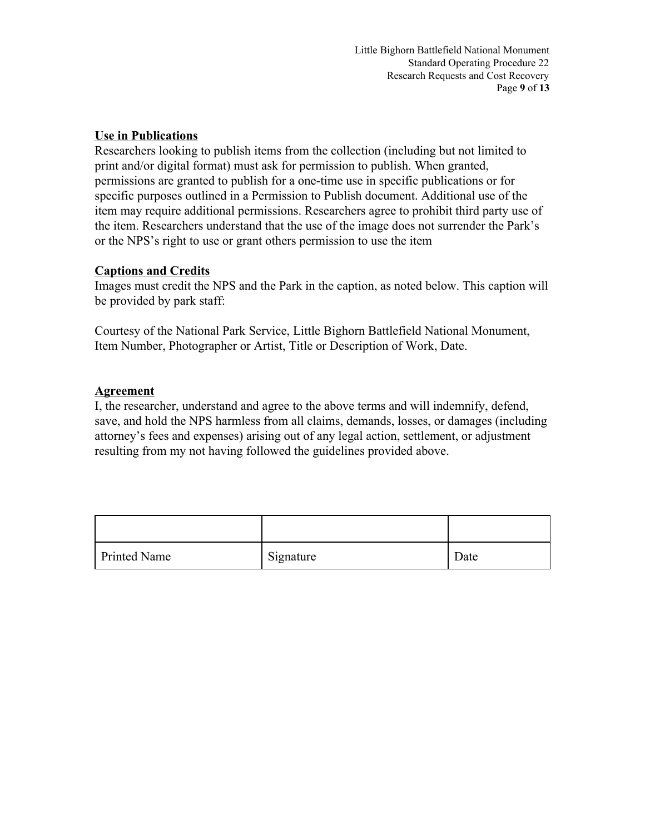# **Use in Publications**

 or the NPS's right to use or grant others permission to use the item Researchers looking to publish items from the collection (including but not limited to print and/or digital format) must ask for permission to publish. When granted, permissions are granted to publish for a one-time use in specific publications or for specific purposes outlined in a Permission to Publish document. Additional use of the item may require additional permissions. Researchers agree to prohibit third party use of the item. Researchers understand that the use of the image does not surrender the Park's

## **Captions and Credits**

Images must credit the NPS and the Park in the caption, as noted below. This caption will be provided by park staff:

Courtesy of the National Park Service, Little Bighorn Battlefield National Monument, Item Number, Photographer or Artist, Title or Description of Work, Date.

# **Agreement**

I, the researcher, understand and agree to the above terms and will indemnify, defend, save, and hold the NPS harmless from all claims, demands, losses, or damages (including attorney's fees and expenses) arising out of any legal action, settlement, or adjustment resulting from my not having followed the guidelines provided above.

| <b>Printed Name</b> | Signature | Date |
|---------------------|-----------|------|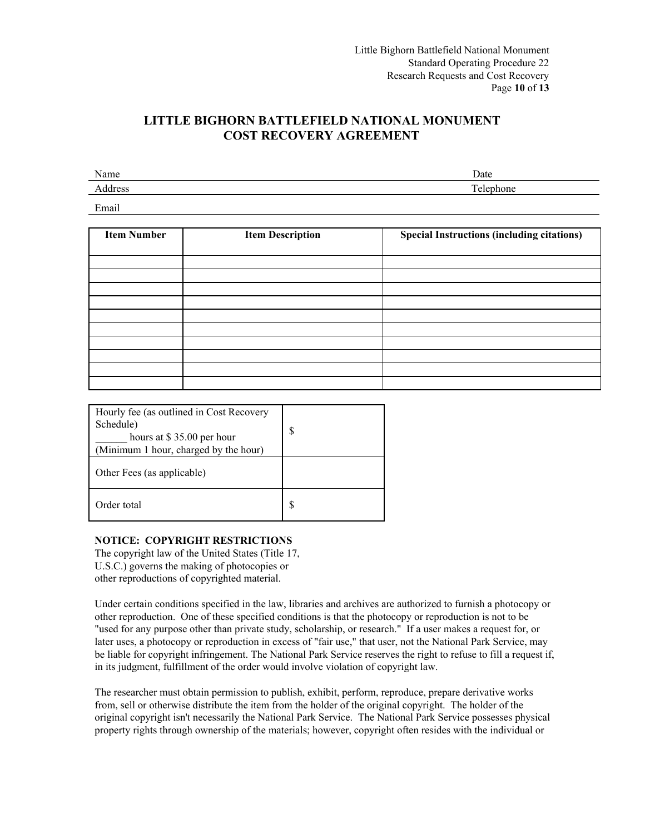Page **10** of **13**  Little Bighorn Battlefield National Monument Standard Operating Procedure 22 Research Requests and Cost Recovery

## **LITTLE BIGHORN BATTLEFIELD NATIONAL MONUMENT COST RECOVERY AGREEMENT**

| Name | Date |
|------|------|
|      |      |
|      |      |

Email

| <b>Item Number</b> | <b>Item Description</b> | <b>Special Instructions (including citations)</b> |
|--------------------|-------------------------|---------------------------------------------------|
|                    |                         |                                                   |
|                    |                         |                                                   |
|                    |                         |                                                   |
|                    |                         |                                                   |
|                    |                         |                                                   |
|                    |                         |                                                   |
|                    |                         |                                                   |
|                    |                         |                                                   |
|                    |                         |                                                   |
|                    |                         |                                                   |

| Hourly fee (as outlined in Cost Recovery<br>Schedule)<br>hours at \$35.00 per hour<br>(Minimum 1 hour, charged by the hour) | S |
|-----------------------------------------------------------------------------------------------------------------------------|---|
| Other Fees (as applicable)                                                                                                  |   |
| Order total                                                                                                                 |   |

### **NOTICE: COPYRIGHT RESTRICTIONS**

The copyright law of the United States (Title 17, U.S.C.) governs the making of photocopies or other reproductions of copyrighted material.

Under certain conditions specified in the law, libraries and archives are authorized to furnish a photocopy or other reproduction. One of these specified conditions is that the photocopy or reproduction is not to be "used for any purpose other than private study, scholarship, or research." If a user makes a request for, or later uses, a photocopy or reproduction in excess of "fair use," that user, not the National Park Service, may be liable for copyright infringement. The National Park Service reserves the right to refuse to fill a request if, in its judgment, fulfillment of the order would involve violation of copyright law. The researcher must obtain permission to publish, exhibit, perform, reproduce, prepare derivative works

from, sell or otherwise distribute the item from the holder of the original copyright. The holder of the original copyright isn't necessarily the National Park Service. The National Park Service possesses physical property rights through ownership of the materials; however, copyright often resides with the individual or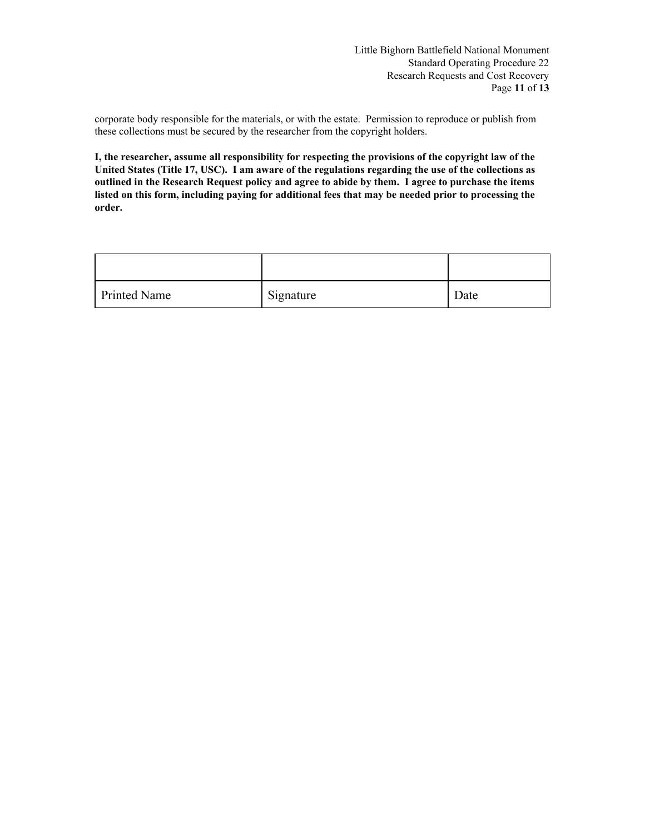corporate body responsible for the materials, or with the estate. Permission to reproduce or publish from these collections must be secured by the researcher from the copyright holders.

**I, the researcher, assume all responsibility for respecting the provisions of the copyright law of the United States (Title 17, USC). I am aware of the regulations regarding the use of the collections as outlined in the Research Request policy and agree to abide by them. I agree to purchase the items listed on this form, including paying for additional fees that may be needed prior to processing the order.** 

| <b>Printed Name</b> | Signature | Date |
|---------------------|-----------|------|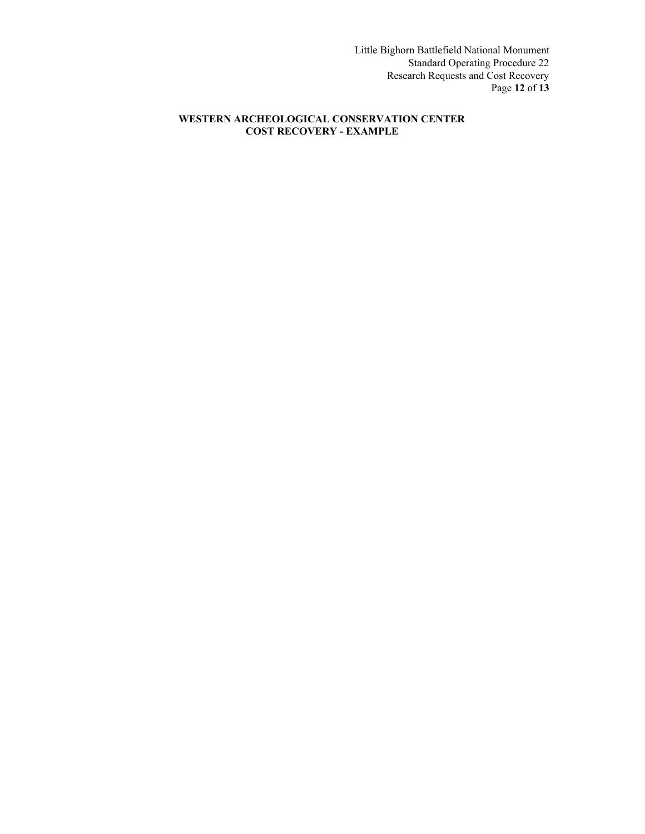Page **12** of **13**  Little Bighorn Battlefield National Monument Standard Operating Procedure 22 Research Requests and Cost Recovery

#### **WESTERN ARCHEOLOGICAL CONSERVATION CENTER COST RECOVERY - EXAMPLE**